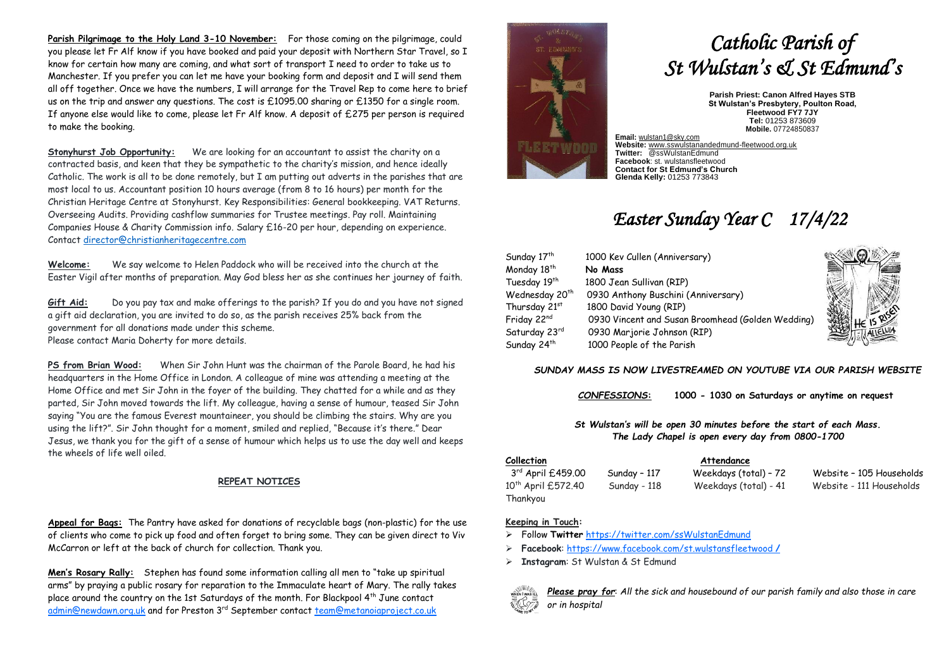**Parish Pilgrimage to the Holy Land 3-10 November:** For those coming on the pilgrimage, could you please let Fr Alf know if you have booked and paid your deposit with Northern Star Travel, so I know for certain how many are coming, and what sort of transport I need to order to take us to Manchester. If you prefer you can let me have your booking form and deposit and I will send them all off together. Once we have the numbers, I will arrange for the Travel Rep to come here to brief us on the trip and answer any questions. The cost is £1095.00 sharing or £1350 for a single room. If anyone else would like to come, please let Fr Alf know. A deposit of £275 per person is required to make the booking.

**Stonyhurst Job Opportunity:** We are looking for an accountant to assist the charity on a contracted basis, and keen that they be sympathetic to the charity's mission, and hence ideally Catholic. The work is all to be done remotely, but I am putting out adverts in the parishes that are most local to us. Accountant position 10 hours average (from 8 to 16 hours) per month for the Christian Heritage Centre at Stonyhurst. Key Responsibilities: General bookkeeping. VAT Returns. Overseeing Audits. Providing cashflow summaries for Trustee meetings. Pay roll. Maintaining Companies House & Charity Commission info. Salary £16-20 per hour, depending on experience. Contact [director@christianheritagecentre.com](mailto:director@christianheritagecentre.com)

**Welcome:** We say welcome to Helen Paddock who will be received into the church at the Easter Vigil after months of preparation. May God bless her as she continues her journey of faith.

**Gift Aid:** Do you pay tax and make offerings to the parish? If you do and you have not signed a gift aid declaration, you are invited to do so, as the parish receives 25% back from the government for all donations made under this scheme. Please contact Maria Doherty for more details.

**PS from Brian Wood:** When Sir John Hunt was the chairman of the Parole Board, he had his headquarters in the Home Office in London. A colleague of mine was attending a meeting at the Home Office and met Sir John in the foyer of the building. They chatted for a while and as they parted, Sir John moved towards the lift. My colleague, having a sense of humour, teased Sir John saying "You are the famous Everest mountaineer, you should be climbing the stairs. Why are you using the lift?". Sir John thought for a moment, smiled and replied, "Because it's there." Dear Jesus, we thank you for the gift of a sense of humour which helps us to use the day well and keeps the wheels of life well oiled.

### **REPEAT NOTICES**

**Appeal for Bags:** The Pantry have asked for donations of recyclable bags (non-plastic) for the use of clients who come to pick up food and often forget to bring some. They can be given direct to Viv McCarron or left at the back of church for collection. Thank you.

**Men's Rosary Rally:** Stephen has found some information calling all men to "take up spiritual arms" by praying a public rosary for reparation to the Immaculate heart of Mary. The rally takes place around the country on the 1st Saturdays of the month. For Blackpool 4th June contact [admin@newdawn.org.uk](mailto:admin@newdawn.org.uk) and for Preston 3rd September contact [team@metanoiaproject.co.uk](mailto:team@metanoiaproject.co.uk)



# *Catholic Parish of St Wulstan's & St Edmund's*

**Parish Priest: Canon Alfred Hayes STB St Wulstan's Presbytery, Poulton Road, Fleetwood FY7 7JY Tel:** 01253 873609 **Mobile.** 07724850837

**Email:** [wulstan1@sky.com](mailto:wulstan1@sky.com) **Website:** [www.sswulstanandedmund-fleetwood.org.uk](http://www.sswulstanandedmund-fleetwood.org.uk/) **Twitter:** @ssWulstanEdmund **Facebook**: st. wulstansfleetwood **Contact for St Edmund's Church Glenda Kelly:** 01253 773843

## *Easter Sunday Year C 17/4/22*

| Sunday 17 <sup>th</sup>    | 1000 Kev Cullen (Anniversary)                     |  |
|----------------------------|---------------------------------------------------|--|
| Monday 18th                | No Mass                                           |  |
| Tuesday 19th               | 1800 Jean Sullivan (RIP)                          |  |
| Wednesday 20 <sup>th</sup> | 0930 Anthony Buschini (Anniversary)               |  |
| Thursday 21st              | 1800 David Young (RIP)                            |  |
| Friday 22nd                | 0930 Vincent and Susan Broomhead (Golden Wedding) |  |
| Saturday 23rd              | 0930 Marjorie Johnson (RIP)                       |  |
| Sunday 24 <sup>th</sup>    | 1000 People of the Parish                         |  |



### *SUNDAY MASS IS NOW LIVESTREAMED ON YOUTUBE VIA OUR PARISH WEBSITE*

*CONFESSIONS***: 1000 - 1030 on Saturdays or anytime on request**

*St Wulstan's will be open 30 minutes before the start of each Mass. The Lady Chapel is open every day from 0800-1700*

3rd April £459.00 10<sup>th</sup> April £572.40 Sunday - 118 Weekdays (total) - 41 Website - 111 Households Thankyou

**Collection Attendance**

Sunday - 117 Weekdays (total) - 72 Website - 105 Households

### **Keeping in Touch:**

- ➢ Follow **Twitter** <https://twitter.com/ssWulstanEdmund>
- ➢ **Facebook**: https://www.facebook.com/st.wulstansfleetwood **/**
- ➢ **Instagram**: St Wulstan & St Edmund



*Please pray for*: *All the sick and housebound of our parish family and also those in care or in hospital*